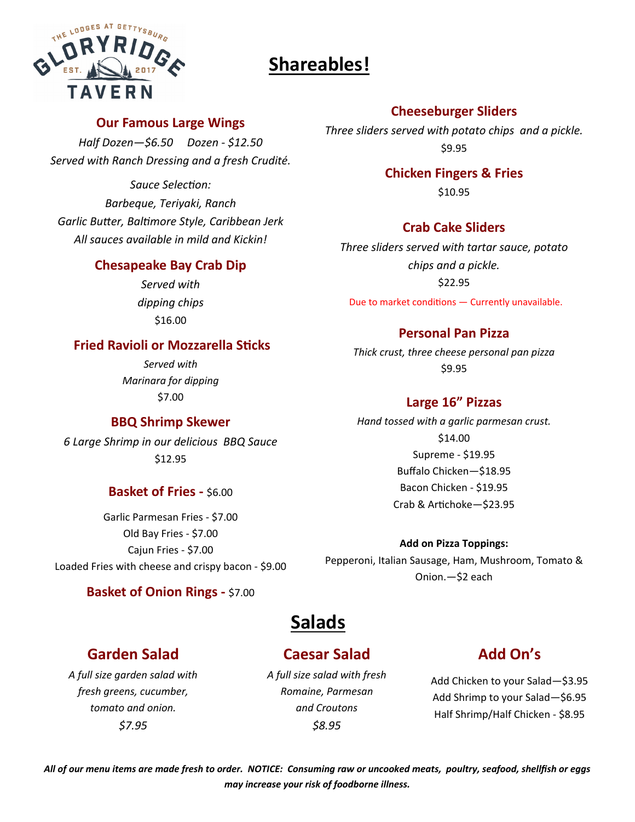# **Shareables!**



### **Our Famous Large Wings**

*Half Dozen—\$6.50 Dozen ‐ \$12.50 Served with Ranch Dressing and a fresh Crudité.* 

*Sauce SelecƟon: Barbeque, Teriyaki, Ranch Garlic BuƩer, BalƟmore Style, Caribbean Jerk All sauces available in mild and Kickin!* 

### **Chesapeake Bay Crab Dip**

*Served with dipping chips* \$16.00

### **Fried Ravioli or Mozzarella Sticks**

*Served with Marinara for dipping* \$7.00

### **BBQ Shrimp Skewer**

*6 Large Shrimp in our delicious BBQ Sauce*  \$12.95

### **Basket of Fries - \$6.00**

Garlic Parmesan Fries ‐ \$7.00 Old Bay Fries ‐ \$7.00 Cajun Fries ‐ \$7.00 Loaded Fries with cheese and crispy bacon ‐ \$9.00

### **Basket of Onion Rings ‐** \$7.00

## **Cheeseburger Sliders**

*Three sliders served with potato chips and a pickle.*  \$9.95

### **Chicken Fingers & Fries**

\$10.95

### **Crab Cake Sliders**

*Three sliders served with tartar sauce, potato chips and a pickle.*  \$22.95

Due to market conditions  $-$  Currently unavailable.

### **Personal Pan Pizza**

*Thick crust, three cheese personal pan pizza*  \$9.95

### **Large 16" Pizzas**

*Hand tossed with a garlic parmesan crust.*  \$14.00 Supreme ‐ \$19.95 Buffalo Chicken—\$18.95 Bacon Chicken ‐ \$19.95 Crab & Artichoke-\$23.95

#### **Add on Pizza Toppings:**

Pepperoni, Italian Sausage, Ham, Mushroom, Tomato & Onion.—\$2 each

# **Salads**

## **Garden Salad**

*A full size garden salad with fresh greens, cucumber, tomato and onion. \$7.95*

## **Caesar Salad**

*A full size salad with fresh Romaine, Parmesan and Croutons \$8.95*

# **Add On's**

Add Chicken to your Salad—\$3.95 Add Shrimp to your Salad—\$6.95 Half Shrimp/Half Chicken ‐ \$8.95

*All of our menu items are made fresh to order. NOTICE: Consuming raw or uncooked meats, poultry, seafood, shellfish or eggs may increase your risk of foodborne illness.*